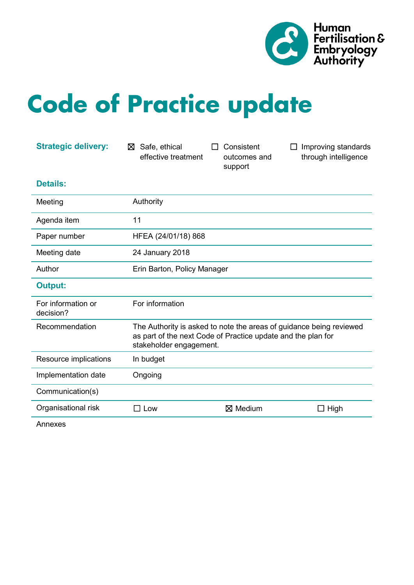

# **Code of Practice update**

| <b>Strategic delivery:</b>      | Safe, ethical<br>⊠<br>effective treatment | Consistent<br>outcomes and<br>support                        | Improving standards<br>through intelligence                         |
|---------------------------------|-------------------------------------------|--------------------------------------------------------------|---------------------------------------------------------------------|
| <b>Details:</b>                 |                                           |                                                              |                                                                     |
| Meeting                         | Authority                                 |                                                              |                                                                     |
| Agenda item                     | 11                                        |                                                              |                                                                     |
| Paper number                    | HFEA (24/01/18) 868                       |                                                              |                                                                     |
| Meeting date                    | 24 January 2018                           |                                                              |                                                                     |
| Author                          | Erin Barton, Policy Manager               |                                                              |                                                                     |
| <b>Output:</b>                  |                                           |                                                              |                                                                     |
| For information or<br>decision? | For information                           |                                                              |                                                                     |
| Recommendation                  | stakeholder engagement.                   | as part of the next Code of Practice update and the plan for | The Authority is asked to note the areas of guidance being reviewed |
| Resource implications           | In budget                                 |                                                              |                                                                     |
| Implementation date             | Ongoing                                   |                                                              |                                                                     |
| Communication(s)                |                                           |                                                              |                                                                     |
| Organisational risk             | $\square$ Low                             | ⊠ Medium                                                     | $\Box$ High                                                         |
| $\mathbf{A}$                    |                                           |                                                              |                                                                     |

Annexes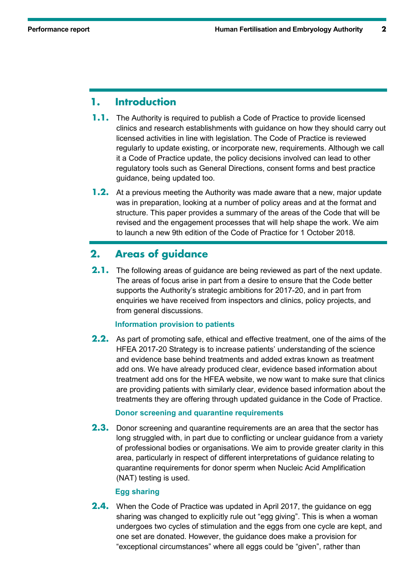## **1. Introduction**

- **1.1.** The Authority is required to publish a Code of Practice to provide licensed clinics and research establishments with guidance on how they should carry out licensed activities in line with legislation. The Code of Practice is reviewed regularly to update existing, or incorporate new, requirements. Although we call it a Code of Practice update, the policy decisions involved can lead to other regulatory tools such as General Directions, consent forms and best practice guidance, being updated too.
- **1.2.** At a previous meeting the Authority was made aware that a new, major update was in preparation, looking at a number of policy areas and at the format and structure. This paper provides a summary of the areas of the Code that will be revised and the engagement processes that will help shape the work. We aim to launch a new 9th edition of the Code of Practice for 1 October 2018.

## **2. Areas of guidance**

**2.1.** The following areas of guidance are being reviewed as part of the next update. The areas of focus arise in part from a desire to ensure that the Code better supports the Authority's strategic ambitions for 2017-20, and in part from enquiries we have received from inspectors and clinics, policy projects, and from general discussions.

#### **Information provision to patients**

**2.2.** As part of promoting safe, ethical and effective treatment, one of the aims of the HFEA 2017-20 Strategy is to increase patients' understanding of the science and evidence base behind treatments and added extras known as treatment add ons. We have already produced clear, evidence based information about treatment add ons for the HFEA website, we now want to make sure that clinics are providing patients with similarly clear, evidence based information about the treatments they are offering through updated guidance in the Code of Practice.

#### **Donor screening and quarantine requirements**

**2.3.** Donor screening and quarantine requirements are an area that the sector has long struggled with, in part due to conflicting or unclear guidance from a variety of professional bodies or organisations. We aim to provide greater clarity in this area, particularly in respect of different interpretations of guidance relating to quarantine requirements for donor sperm when Nucleic Acid Amplification (NAT) testing is used.

#### **Egg sharing**

**2.4.** When the Code of Practice was updated in April 2017, the guidance on egg sharing was changed to explicitly rule out "egg giving". This is when a woman undergoes two cycles of stimulation and the eggs from one cycle are kept, and one set are donated. However, the guidance does make a provision for "exceptional circumstances" where all eggs could be "given", rather than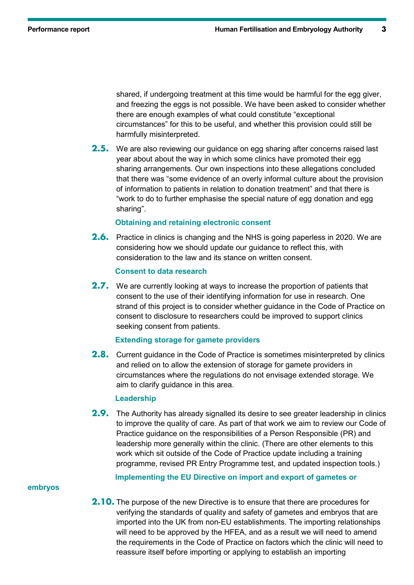shared, if undergoing treatment at this time would be harmful for the egg giver, and freezing the eggs is not possible. We have been asked to consider whether there are enough examples of what could constitute "exceptional circumstances" for this to be useful, and whether this provision could still be harmfully misinterpreted.

**2.5.** We are also reviewing our guidance on egg sharing after concerns raised last year about about the way in which some clinics have promoted their egg sharing arrangements. Our own inspections into these allegations concluded that there was "some evidence of an overly informal culture about the provision of information to patients in relation to donation treatment" and that there is "work to do to further emphasise the special nature of egg donation and egg sharing".

#### **Obtaining and retaining electronic consent**

**2.6.** Practice in clinics is changing and the NHS is going paperless in 2020. We are considering how we should update our guidance to reflect this, with consideration to the law and its stance on written consent.

#### **Consent to data research**

**2.7.** We are currently looking at ways to increase the proportion of patients that consent to the use of their identifying information for use in research. One strand of this project is to consider whether guidance in the Code of Practice on consent to disclosure to researchers could be improved to support clinics seeking consent from patients.

#### **Extending storage for gamete providers**

**2.8.** Current guidance in the Code of Practice is sometimes misinterpreted by clinics and relied on to allow the extension of storage for gamete providers in circumstances where the regulations do not envisage extended storage. We aim to clarify guidance in this area.

#### **Leadership**

**2.9.** The Authority has already signalled its desire to see greater leadership in clinics to improve the quality of care. As part of that work we aim to review our Code of Practice guidance on the responsibilities of a Person Responsible (PR) and leadership more generally within the clinic. (There are other elements to this work which sit outside of the Code of Practice update including a training programme, revised PR Entry Programme test, and updated inspection tools.)

#### **embryos**

**Implementing the EU Directive on import and export of gametes or** 

**2.10.** The purpose of the new Directive is to ensure that there are procedures for verifying the standards of quality and safety of gametes and embryos that are imported into the UK from non-EU establishments. The importing relationships will need to be approved by the HFEA, and as a result we will need to amend the requirements in the Code of Practice on factors which the clinic will need to reassure itself before importing or applying to establish an importing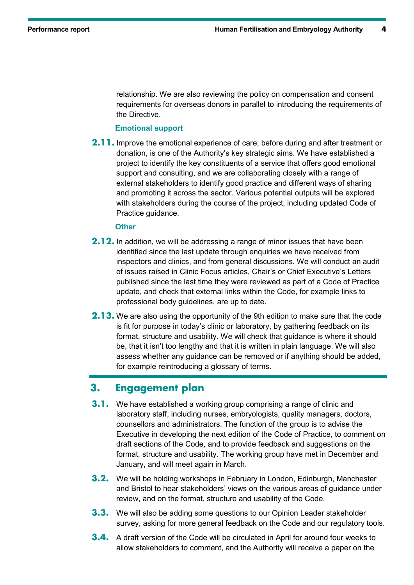relationship. We are also reviewing the policy on compensation and consent requirements for overseas donors in parallel to introducing the requirements of the Directive.

#### **Emotional support**

**2.11.** Improve the emotional experience of care, before during and after treatment or donation, is one of the Authority's key strategic aims. We have established a project to identify the key constituents of a service that offers good emotional support and consulting, and we are collaborating closely with a range of external stakeholders to identify good practice and different ways of sharing and promoting it across the sector. Various potential outputs will be explored with stakeholders during the course of the project, including updated Code of Practice guidance.

#### **Other**

- **2.12.** In addition, we will be addressing a range of minor issues that have been identified since the last update through enquiries we have received from inspectors and clinics, and from general discussions. We will conduct an audit of issues raised in Clinic Focus articles, Chair's or Chief Executive's Letters published since the last time they were reviewed as part of a Code of Practice update, and check that external links within the Code, for example links to professional body guidelines, are up to date.
- **2.13.** We are also using the opportunity of the 9th edition to make sure that the code is fit for purpose in today's clinic or laboratory, by gathering feedback on its format, structure and usability. We will check that guidance is where it should be, that it isn't too lengthy and that it is written in plain language. We will also assess whether any guidance can be removed or if anything should be added, for example reintroducing a glossary of terms.

### **3. Engagement plan**

- **3.1.** We have established a working group comprising a range of clinic and laboratory staff, including nurses, embryologists, quality managers, doctors, counsellors and administrators. The function of the group is to advise the Executive in developing the next edition of the Code of Practice, to comment on draft sections of the Code, and to provide feedback and suggestions on the format, structure and usability. The working group have met in December and January, and will meet again in March.
- **3.2.** We will be holding workshops in February in London, Edinburgh, Manchester and Bristol to hear stakeholders' views on the various areas of guidance under review, and on the format, structure and usability of the Code.
- **3.3.** We will also be adding some questions to our Opinion Leader stakeholder survey, asking for more general feedback on the Code and our regulatory tools.
- **3.4.** A draft version of the Code will be circulated in April for around four weeks to allow stakeholders to comment, and the Authority will receive a paper on the